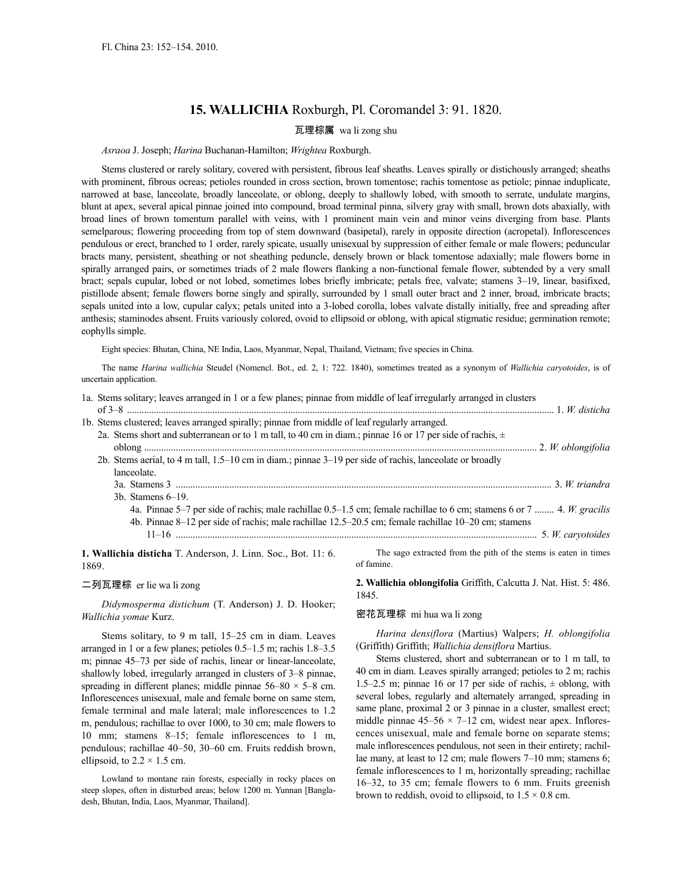# **15. WALLICHIA** Roxburgh, Pl. Coromandel 3: 91. 1820.

## 瓦理棕属 wa li zong shu

## *Asraoa* J. Joseph; *Harina* Buchanan-Hamilton; *Wrightea* Roxburgh.

Stems clustered or rarely solitary, covered with persistent, fibrous leaf sheaths. Leaves spirally or distichously arranged; sheaths with prominent, fibrous ocreas; petioles rounded in cross section, brown tomentose; rachis tomentose as petiole; pinnae induplicate, narrowed at base, lanceolate, broadly lanceolate, or oblong, deeply to shallowly lobed, with smooth to serrate, undulate margins, blunt at apex, several apical pinnae joined into compound, broad terminal pinna, silvery gray with small, brown dots abaxially, with broad lines of brown tomentum parallel with veins, with 1 prominent main vein and minor veins diverging from base. Plants semelparous; flowering proceeding from top of stem downward (basipetal), rarely in opposite direction (acropetal). Inflorescences pendulous or erect, branched to 1 order, rarely spicate, usually unisexual by suppression of either female or male flowers; peduncular bracts many, persistent, sheathing or not sheathing peduncle, densely brown or black tomentose adaxially; male flowers borne in spirally arranged pairs, or sometimes triads of 2 male flowers flanking a non-functional female flower, subtended by a very small bract; sepals cupular, lobed or not lobed, sometimes lobes briefly imbricate; petals free, valvate; stamens 3–19, linear, basifixed, pistillode absent; female flowers borne singly and spirally, surrounded by 1 small outer bract and 2 inner, broad, imbricate bracts; sepals united into a low, cupular calyx; petals united into a 3-lobed corolla, lobes valvate distally initially, free and spreading after anthesis; staminodes absent. Fruits variously colored, ovoid to ellipsoid or oblong, with apical stigmatic residue; germination remote; eophylls simple.

Eight species: Bhutan, China, NE India, Laos, Myanmar, Nepal, Thailand, Vietnam; five species in China.

The name *Harina wallichia* Steudel (Nomencl. Bot., ed. 2, 1: 722. 1840), sometimes treated as a synonym of *Wallichia caryotoides*, is of uncertain application.

| 1a. Stems solitary; leaves arranged in 1 or a few planes; pinnae from middle of leaf irregularly arranged in clusters  |
|------------------------------------------------------------------------------------------------------------------------|
|                                                                                                                        |
| 1b. Stems clustered; leaves arranged spirally; pinnae from middle of leaf regularly arranged.                          |
| 2a. Stems short and subterranean or to 1 m tall, to 40 cm in diam.; pinnae 16 or 17 per side of rachis, $\pm$          |
|                                                                                                                        |
| 2b. Stems aerial, to 4 m tall, 1.5–10 cm in diam.; pinnae 3–19 per side of rachis, lanceolate or broadly               |
| lanceolate.                                                                                                            |
|                                                                                                                        |
| $3b$ . Stamens $6-19$ .                                                                                                |
| 4a. Pinnae 5–7 per side of rachis; male rachillae 0.5–1.5 cm; female rachillae to 6 cm; stamens 6 or 7  4. W. gracilis |
| 4b. Pinnae 8–12 per side of rachis; male rachillae 12.5–20.5 cm; female rachillae 10–20 cm; stamens                    |
|                                                                                                                        |
|                                                                                                                        |

**1. Wallichia disticha** T. Anderson, J. Linn. Soc., Bot. 11: 6. 1869.

# 二列瓦理棕 er lie wa li zong

*Didymosperma distichum* (T. Anderson) J. D. Hooker; *Wallichia yomae* Kurz.

Stems solitary, to 9 m tall, 15–25 cm in diam. Leaves arranged in 1 or a few planes; petioles 0.5–1.5 m; rachis 1.8–3.5 m; pinnae 45–73 per side of rachis, linear or linear-lanceolate, shallowly lobed, irregularly arranged in clusters of 3–8 pinnae, spreading in different planes; middle pinnae  $56-80 \times 5-8$  cm. Inflorescences unisexual, male and female borne on same stem, female terminal and male lateral; male inflorescences to 1.2 m, pendulous; rachillae to over 1000, to 30 cm; male flowers to 10 mm; stamens 8–15; female inflorescences to 1 m, pendulous; rachillae 40–50, 30–60 cm. Fruits reddish brown, ellipsoid, to  $2.2 \times 1.5$  cm.

Lowland to montane rain forests, especially in rocky places on steep slopes, often in disturbed areas; below 1200 m. Yunnan [Bangladesh, Bhutan, India, Laos, Myanmar, Thailand].

The sago extracted from the pith of the stems is eaten in times of famine.

**2. Wallichia oblongifolia** Griffith, Calcutta J. Nat. Hist. 5: 486. 1845.

### 密花瓦理棕 mi hua wa li zong

*Harina densiflora* (Martius) Walpers; *H. oblongifolia* (Griffith) Griffith; *Wallichia densiflora* Martius.

Stems clustered, short and subterranean or to 1 m tall, to 40 cm in diam. Leaves spirally arranged; petioles to 2 m; rachis 1.5–2.5 m; pinnae 16 or 17 per side of rachis,  $\pm$  oblong, with several lobes, regularly and alternately arranged, spreading in same plane, proximal 2 or 3 pinnae in a cluster, smallest erect; middle pinnae  $45-56 \times 7-12$  cm, widest near apex. Inflorescences unisexual, male and female borne on separate stems; male inflorescences pendulous, not seen in their entirety; rachillae many, at least to 12 cm; male flowers 7–10 mm; stamens 6; female inflorescences to 1 m, horizontally spreading; rachillae 16–32, to 35 cm; female flowers to 6 mm. Fruits greenish brown to reddish, ovoid to ellipsoid, to  $1.5 \times 0.8$  cm.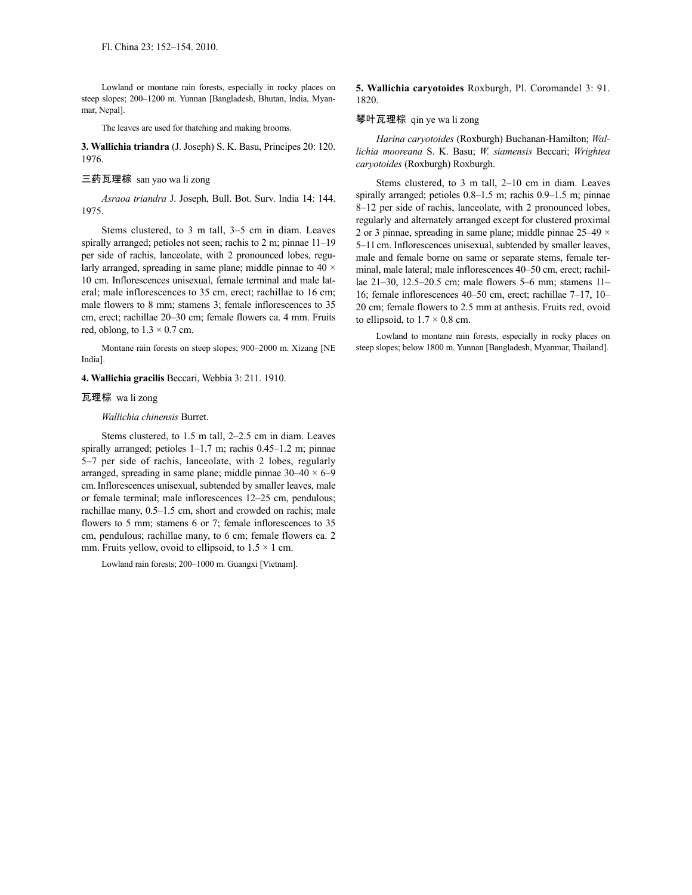Lowland or montane rain forests, especially in rocky places on steep slopes; 200–1200 m. Yunnan [Bangladesh, Bhutan, India, Myanmar, Nepal].

The leaves are used for thatching and making brooms.

**3. Wallichia triandra** (J. Joseph) S. K. Basu, Principes 20: 120. 1976.

## 三药瓦理棕 san yao wa li zong

*Asraoa triandra* J. Joseph, Bull. Bot. Surv. India 14: 144. 1975.

Stems clustered, to 3 m tall, 3–5 cm in diam. Leaves spirally arranged; petioles not seen; rachis to 2 m; pinnae 11–19 per side of rachis, lanceolate, with 2 pronounced lobes, regularly arranged, spreading in same plane; middle pinnae to 40  $\times$ 10 cm. Inflorescences unisexual, female terminal and male lateral; male inflorescences to 35 cm, erect; rachillae to 16 cm; male flowers to 8 mm; stamens 3; female inflorescences to 35 cm, erect; rachillae 20–30 cm; female flowers ca. 4 mm. Fruits red, oblong, to  $1.3 \times 0.7$  cm.

Montane rain forests on steep slopes; 900–2000 m. Xizang [NE India].

**4. Wallichia gracilis** Beccari, Webbia 3: 211. 1910.

### 瓦理棕 wa li zong

#### *Wallichia chinensis* Burret.

Stems clustered, to 1.5 m tall, 2–2.5 cm in diam. Leaves spirally arranged; petioles 1–1.7 m; rachis 0.45–1.2 m; pinnae 5–7 per side of rachis, lanceolate, with 2 lobes, regularly arranged, spreading in same plane; middle pinnae  $30-40 \times 6-9$ cm.Inflorescences unisexual, subtended by smaller leaves, male or female terminal; male inflorescences 12–25 cm, pendulous; rachillae many, 0.5–1.5 cm, short and crowded on rachis; male flowers to 5 mm; stamens 6 or 7; female inflorescences to 35 cm, pendulous; rachillae many, to 6 cm; female flowers ca. 2 mm. Fruits yellow, ovoid to ellipsoid, to  $1.5 \times 1$  cm.

Lowland rain forests; 200–1000 m. Guangxi [Vietnam].

**5. Wallichia caryotoides** Roxburgh, Pl. Coromandel 3: 91. 1820.

#### 琴叶瓦理棕 qin ye wa li zong

*Harina caryotoides* (Roxburgh) Buchanan-Hamilton; *Wallichia mooreana* S. K. Basu; *W. siamensis* Beccari; *Wrightea caryotoides* (Roxburgh) Roxburgh.

Stems clustered, to 3 m tall, 2–10 cm in diam. Leaves spirally arranged; petioles  $0.8-1.5$  m; rachis  $0.9-1.5$  m; pinnae 8–12 per side of rachis, lanceolate, with 2 pronounced lobes, regularly and alternately arranged except for clustered proximal 2 or 3 pinnae, spreading in same plane; middle pinnae  $25-49 \times$ 5–11 cm. Inflorescences unisexual, subtended by smaller leaves, male and female borne on same or separate stems, female terminal, male lateral; male inflorescences 40–50 cm, erect; rachillae 21–30, 12.5–20.5 cm; male flowers 5–6 mm; stamens 11– 16; female inflorescences 40–50 cm, erect; rachillae 7–17, 10– 20 cm; female flowers to 2.5 mm at anthesis. Fruits red, ovoid to ellipsoid, to  $1.7 \times 0.8$  cm.

Lowland to montane rain forests, especially in rocky places on steep slopes; below 1800 m. Yunnan [Bangladesh, Myanmar, Thailand].